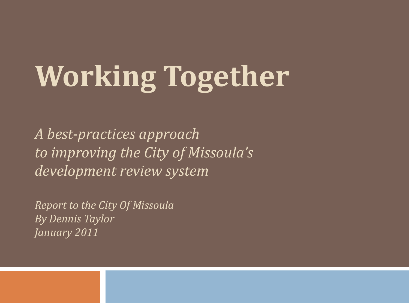# **Working Together**

*A best-practices approach to improving the City of Missoula's development review system*

*Report to the City Of Missoula By Dennis Taylor January 2011*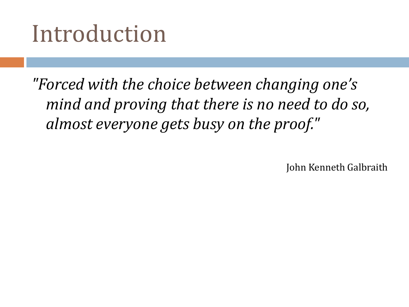#### Introduction

*"Forced with the choice between changing one's mind and proving that there is no need to do so, almost everyone gets busy on the proof."*

John Kenneth Galbraith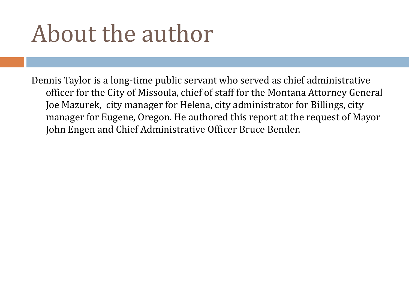# About the author

Dennis Taylor is a long-time public servant who served as chief administrative officer for the City of Missoula, chief of staff for the Montana Attorney General Joe Mazurek, city manager for Helena, city administrator for Billings, city manager for Eugene, Oregon. He authored this report at the request of Mayor John Engen and Chief Administrative Officer Bruce Bender.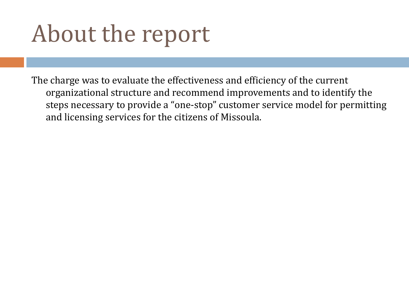# About the report

The charge was to evaluate the effectiveness and efficiency of the current organizational structure and recommend improvements and to identify the steps necessary to provide a "one-stop" customer service model for permitting and licensing services for the citizens of Missoula.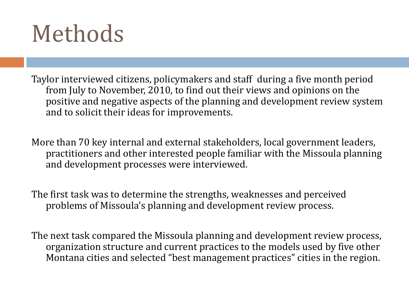#### Methods

Taylor interviewed citizens, policymakers and staff during a five month period from July to November, 2010, to find out their views and opinions on the positive and negative aspects of the planning and development review system and to solicit their ideas for improvements.

More than 70 key internal and external stakeholders, local government leaders, practitioners and other interested people familiar with the Missoula planning and development processes were interviewed.

The first task was to determine the strengths, weaknesses and perceived problems of Missoula's planning and development review process.

The next task compared the Missoula planning and development review process, organization structure and current practices to the models used by five other Montana cities and selected "best management practices" cities in the region.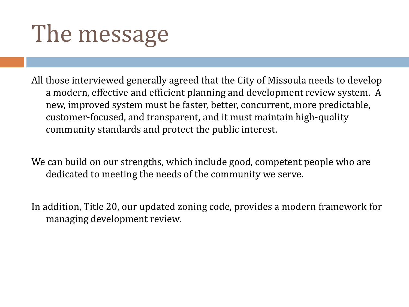# The message

All those interviewed generally agreed that the City of Missoula needs to develop a modern, effective and efficient planning and development review system. A new, improved system must be faster, better, concurrent, more predictable, customer-focused, and transparent, and it must maintain high-quality community standards and protect the public interest.

We can build on our strengths, which include good, competent people who are dedicated to meeting the needs of the community we serve.

In addition, Title 20, our updated zoning code, provides a modern framework for managing development review.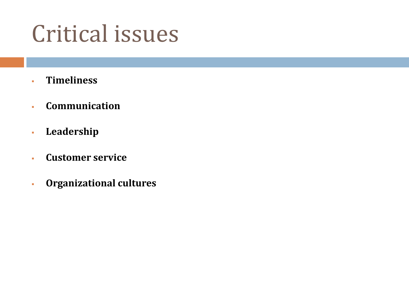#### Critical issues

- **Timeliness**
- **Communication**
- **Leadership**
- **Customer service**
- **Organizational cultures**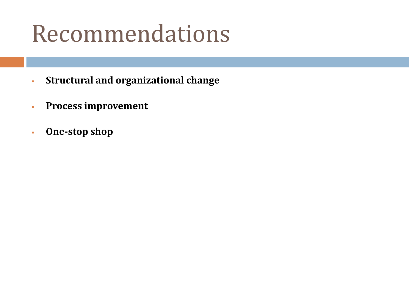#### Recommendations

- **Structural and organizational change**
- **Process improvement**
- **One-stop shop**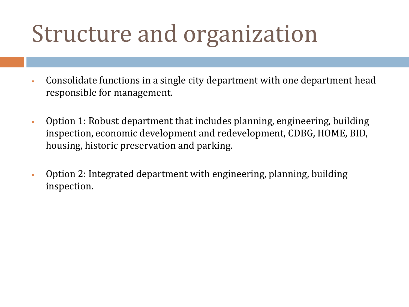# Structure and organization

- Consolidate functions in a single city department with one department head responsible for management.
- Option 1: Robust department that includes planning, engineering, building inspection, economic development and redevelopment, CDBG, HOME, BID, housing, historic preservation and parking.
- Option 2: Integrated department with engineering, planning, building inspection.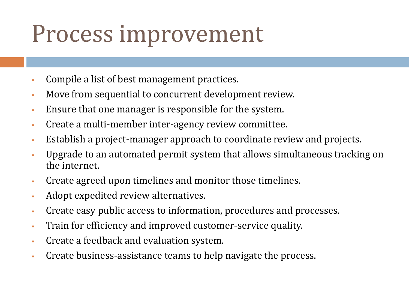#### Process improvement

- Compile a list of best management practices.
- Move from sequential to concurrent development review.
- Ensure that one manager is responsible for the system.
- Create a multi-member inter-agency review committee.
- Establish a project-manager approach to coordinate review and projects.
- Upgrade to an automated permit system that allows simultaneous tracking on the internet.
- Create agreed upon timelines and monitor those timelines.
- Adopt expedited review alternatives.
- Create easy public access to information, procedures and processes.
- Train for efficiency and improved customer-service quality.
- Create a feedback and evaluation system.
- Create business-assistance teams to help navigate the process.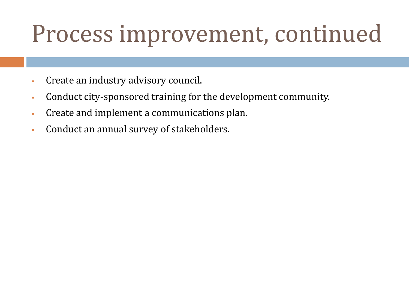# Process improvement, continued

- Create an industry advisory council.
- Conduct city-sponsored training for the development community.
- Create and implement a communications plan.
- Conduct an annual survey of stakeholders.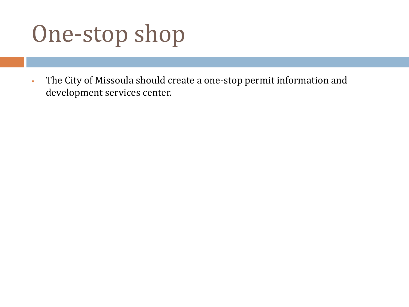# One-stop shop

 The City of Missoula should create a one-stop permit information and development services center.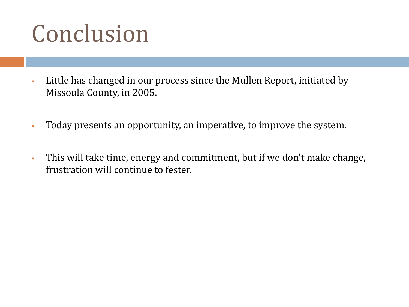# Conclusion

- Little has changed in our process since the Mullen Report, initiated by Missoula County, in 2005.
- Today presents an opportunity, an imperative, to improve the system.
- This will take time, energy and commitment, but if we don't make change, frustration will continue to fester.